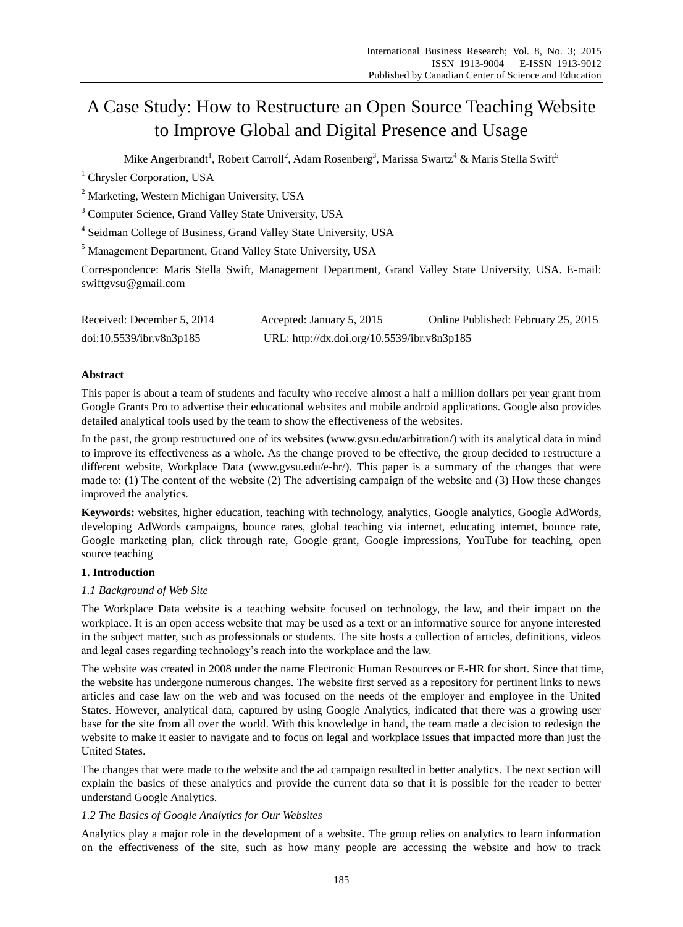# A Case Study: How to Restructure an Open Source Teaching Website to Improve Global and Digital Presence and Usage

Mike Angerbrandt<sup>1</sup>, Robert Carroll<sup>2</sup>, Adam Rosenberg<sup>3</sup>, Marissa Swartz<sup>4</sup> & Maris Stella Swift<sup>5</sup>

<sup>1</sup> Chrysler Corporation, USA

<sup>2</sup> Marketing, Western Michigan University, USA

<sup>3</sup> Computer Science, Grand Valley State University, USA

<sup>4</sup> Seidman College of Business, Grand Valley State University, USA

<sup>5</sup> Management Department, Grand Valley State University, USA

Correspondence: Maris Stella Swift, Management Department, Grand Valley State University, USA. E-mail: swiftgvsu@gmail.com

| Received: December 5, 2014 | Accepted: January 5, 2015                   | Online Published: February 25, 2015 |
|----------------------------|---------------------------------------------|-------------------------------------|
| doi:10.5539/ibr.v8n3p185   | URL: http://dx.doi.org/10.5539/ibr.v8n3p185 |                                     |

## **Abstract**

This paper is about a team of students and faculty who receive almost a half a million dollars per year grant from Google Grants Pro to advertise their educational websites and mobile android applications. Google also provides detailed analytical tools used by the team to show the effectiveness of the websites.

In the past, the group restructured one of its websites (www.gvsu.edu/arbitration/) with its analytical data in mind to improve its effectiveness as a whole. As the change proved to be effective, the group decided to restructure a different website, Workplace Data (www.gvsu.edu/e-hr/). This paper is a summary of the changes that were made to: (1) The content of the website (2) The advertising campaign of the website and (3) How these changes improved the analytics.

**Keywords:** websites, higher education, teaching with technology, analytics, Google analytics, Google AdWords, developing AdWords campaigns, bounce rates, global teaching via internet, educating internet, bounce rate, Google marketing plan, click through rate, Google grant, Google impressions, YouTube for teaching, open source teaching

## **1. Introduction**

#### *1.1 Background of Web Site*

The Workplace Data website is a teaching website focused on technology, the law, and their impact on the workplace. It is an open access website that may be used as a text or an informative source for anyone interested in the subject matter, such as professionals or students. The site hosts a collection of articles, definitions, videos and legal cases regarding technology's reach into the workplace and the law.

The website was created in 2008 under the name Electronic Human Resources or E-HR for short. Since that time, the website has undergone numerous changes. The website first served as a repository for pertinent links to news articles and case law on the web and was focused on the needs of the employer and employee in the United States. However, analytical data, captured by using Google Analytics, indicated that there was a growing user base for the site from all over the world. With this knowledge in hand, the team made a decision to redesign the website to make it easier to navigate and to focus on legal and workplace issues that impacted more than just the United States.

The changes that were made to the website and the ad campaign resulted in better analytics. The next section will explain the basics of these analytics and provide the current data so that it is possible for the reader to better understand Google Analytics.

# *1.2 The Basics of Google Analytics for Our Websites*

Analytics play a major role in the development of a website. The group relies on analytics to learn information on the effectiveness of the site, such as how many people are accessing the website and how to track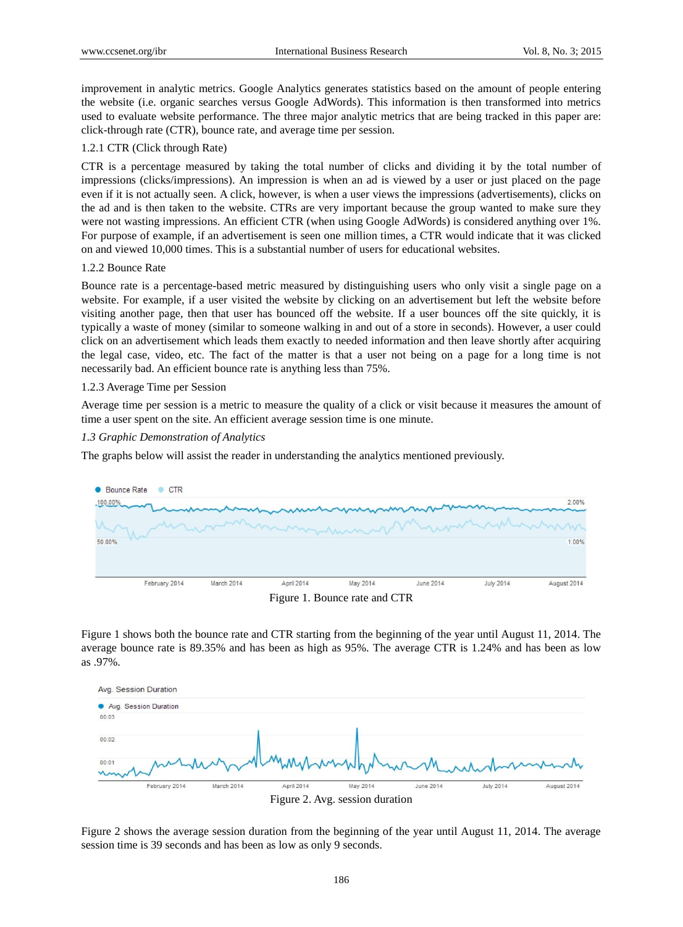improvement in analytic metrics. Google Analytics generates statistics based on the amount of people entering the website (i.e. organic searches versus Google AdWords). This information is then transformed into metrics used to evaluate website performance. The three major analytic metrics that are being tracked in this paper are: click-through rate (CTR), bounce rate, and average time per session.

#### 1.2.1 CTR (Click through Rate)

CTR is a percentage measured by taking the total number of clicks and dividing it by the total number of impressions (clicks/impressions). An impression is when an ad is viewed by a user or just placed on the page even if it is not actually seen. A click, however, is when a user views the impressions (advertisements), clicks on the ad and is then taken to the website. CTRs are very important because the group wanted to make sure they were not wasting impressions. An efficient CTR (when using Google AdWords) is considered anything over 1%. For purpose of example, if an advertisement is seen one million times, a CTR would indicate that it was clicked on and viewed 10,000 times. This is a substantial number of users for educational websites.

#### 1.2.2 Bounce Rate

Bounce rate is a percentage-based metric measured by distinguishing users who only visit a single page on a website. For example, if a user visited the website by clicking on an advertisement but left the website before visiting another page, then that user has bounced off the website. If a user bounces off the site quickly, it is typically a waste of money (similar to someone walking in and out of a store in seconds). However, a user could click on an advertisement which leads them exactly to needed information and then leave shortly after acquiring the legal case, video, etc. The fact of the matter is that a user not being on a page for a long time is not necessarily bad. An efficient bounce rate is anything less than 75%.

#### 1.2.3 Average Time per Session

Average time per session is a metric to measure the quality of a click or visit because it measures the amount of time a user spent on the site. An efficient average session time is one minute.

#### *1.3 Graphic Demonstration of Analytics*

The graphs below will assist the reader in understanding the analytics mentioned previously.



Figure 1 shows both the bounce rate and CTR starting from the beginning of the year until August 11, 2014. The average bounce rate is 89.35% and has been as high as 95%. The average CTR is 1.24% and has been as low as .97%.



Figure 2 shows the average session duration from the beginning of the year until August 11, 2014. The average session time is 39 seconds and has been as low as only 9 seconds.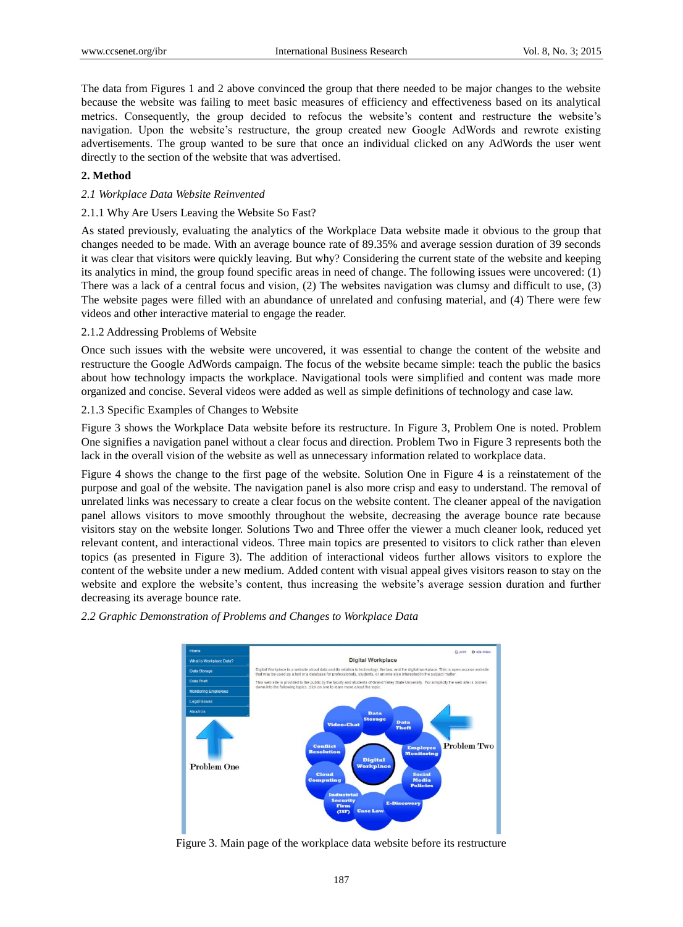The data from Figures 1 and 2 above convinced the group that there needed to be major changes to the website because the website was failing to meet basic measures of efficiency and effectiveness based on its analytical metrics. Consequently, the group decided to refocus the website's content and restructure the website's navigation. Upon the website's restructure, the group created new Google AdWords and rewrote existing advertisements. The group wanted to be sure that once an individual clicked on any AdWords the user went directly to the section of the website that was advertised.

#### **2. Method**

#### *2.1 Workplace Data Website Reinvented*

#### 2.1.1 Why Are Users Leaving the Website So Fast?

As stated previously, evaluating the analytics of the Workplace Data website made it obvious to the group that changes needed to be made. With an average bounce rate of 89.35% and average session duration of 39 seconds it was clear that visitors were quickly leaving. But why? Considering the current state of the website and keeping its analytics in mind, the group found specific areas in need of change. The following issues were uncovered: (1) There was a lack of a central focus and vision, (2) The websites navigation was clumsy and difficult to use, (3) The website pages were filled with an abundance of unrelated and confusing material, and (4) There were few videos and other interactive material to engage the reader.

## 2.1.2 Addressing Problems of Website

Once such issues with the website were uncovered, it was essential to change the content of the website and restructure the Google AdWords campaign. The focus of the website became simple: teach the public the basics about how technology impacts the workplace. Navigational tools were simplified and content was made more organized and concise. Several videos were added as well as simple definitions of technology and case law.

## 2.1.3 Specific Examples of Changes to Website

Figure 3 shows the Workplace Data website before its restructure. In Figure 3, Problem One is noted. Problem One signifies a navigation panel without a clear focus and direction. Problem Two in Figure 3 represents both the lack in the overall vision of the website as well as unnecessary information related to workplace data.

Figure 4 shows the change to the first page of the website. Solution One in Figure 4 is a reinstatement of the purpose and goal of the website. The navigation panel is also more crisp and easy to understand. The removal of unrelated links was necessary to create a clear focus on the website content. The cleaner appeal of the navigation panel allows visitors to move smoothly throughout the website, decreasing the average bounce rate because visitors stay on the website longer. Solutions Two and Three offer the viewer a much cleaner look, reduced yet relevant content, and interactional videos. Three main topics are presented to visitors to click rather than eleven topics (as presented in Figure 3). The addition of interactional videos further allows visitors to explore the content of the website under a new medium. Added content with visual appeal gives visitors reason to stay on the website and explore the website's content, thus increasing the website's average session duration and further decreasing its average bounce rate.



#### *2.2 Graphic Demonstration of Problems and Changes to Workplace Data*

Figure 3. Main page of the workplace data website before its restructure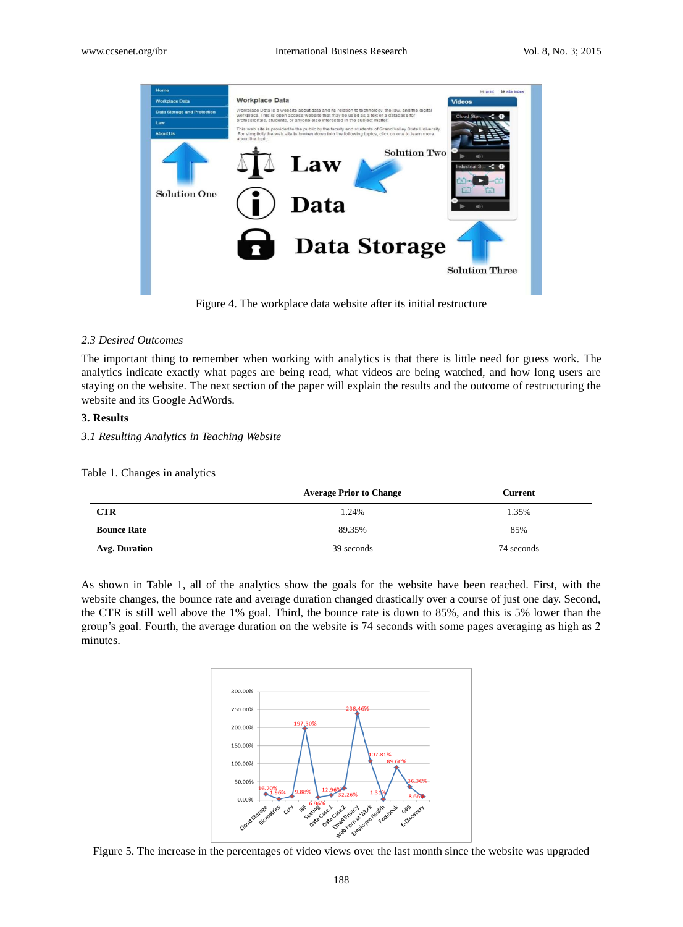

Figure 4. The workplace data website after its initial restructure

#### *2.3 Desired Outcomes*

The important thing to remember when working with analytics is that there is little need for guess work. The analytics indicate exactly what pages are being read, what videos are being watched, and how long users are staying on the website. The next section of the paper will explain the results and the outcome of restructuring the website and its Google AdWords.

#### **3. Results**

*3.1 Resulting Analytics in Teaching Website*

Table 1. Changes in analytics

|                    | <b>Average Prior to Change</b> | <b>Current</b> |
|--------------------|--------------------------------|----------------|
| <b>CTR</b>         | 1.24%                          | 1.35%          |
| <b>Bounce Rate</b> | 89.35%                         | 85%            |
| Avg. Duration      | 39 seconds                     | 74 seconds     |

As shown in Table 1, all of the analytics show the goals for the website have been reached. First, with the website changes, the bounce rate and average duration changed drastically over a course of just one day. Second, the CTR is still well above the 1% goal. Third, the bounce rate is down to 85%, and this is 5% lower than the group's goal. Fourth, the average duration on the website is 74 seconds with some pages averaging as high as 2 minutes.



Figure 5. The increase in the percentages of video views over the last month since the website was upgraded